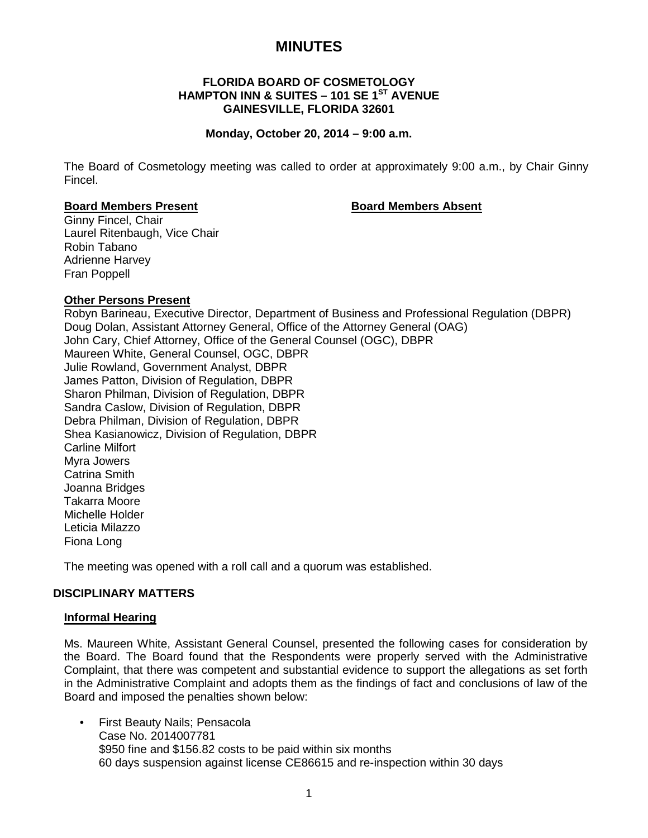# **MINUTES**

## **FLORIDA BOARD OF COSMETOLOGY HAMPTON INN & SUITES – 101 SE 1ST AVENUE GAINESVILLE, FLORIDA 32601**

#### **Monday, October 20, 2014 – 9:00 a.m.**

The Board of Cosmetology meeting was called to order at approximately 9:00 a.m., by Chair Ginny Fincel.

#### **Board Members Present Board Members Absent**

Ginny Fincel, Chair Laurel Ritenbaugh, Vice Chair Robin Tabano Adrienne Harvey Fran Poppell

## **Other Persons Present**

Robyn Barineau, Executive Director, Department of Business and Professional Regulation (DBPR) Doug Dolan, Assistant Attorney General, Office of the Attorney General (OAG) John Cary, Chief Attorney, Office of the General Counsel (OGC), DBPR Maureen White, General Counsel, OGC, DBPR Julie Rowland, Government Analyst, DBPR James Patton, Division of Regulation, DBPR Sharon Philman, Division of Regulation, DBPR Sandra Caslow, Division of Regulation, DBPR Debra Philman, Division of Regulation, DBPR Shea Kasianowicz, Division of Regulation, DBPR Carline Milfort Myra Jowers Catrina Smith Joanna Bridges Takarra Moore Michelle Holder Leticia Milazzo Fiona Long

The meeting was opened with a roll call and a quorum was established.

# **DISCIPLINARY MATTERS**

#### **Informal Hearing**

Ms. Maureen White, Assistant General Counsel, presented the following cases for consideration by the Board. The Board found that the Respondents were properly served with the Administrative Complaint, that there was competent and substantial evidence to support the allegations as set forth in the Administrative Complaint and adopts them as the findings of fact and conclusions of law of the Board and imposed the penalties shown below:

• First Beauty Nails; Pensacola Case No. 2014007781 \$950 fine and \$156.82 costs to be paid within six months 60 days suspension against license CE86615 and re-inspection within 30 days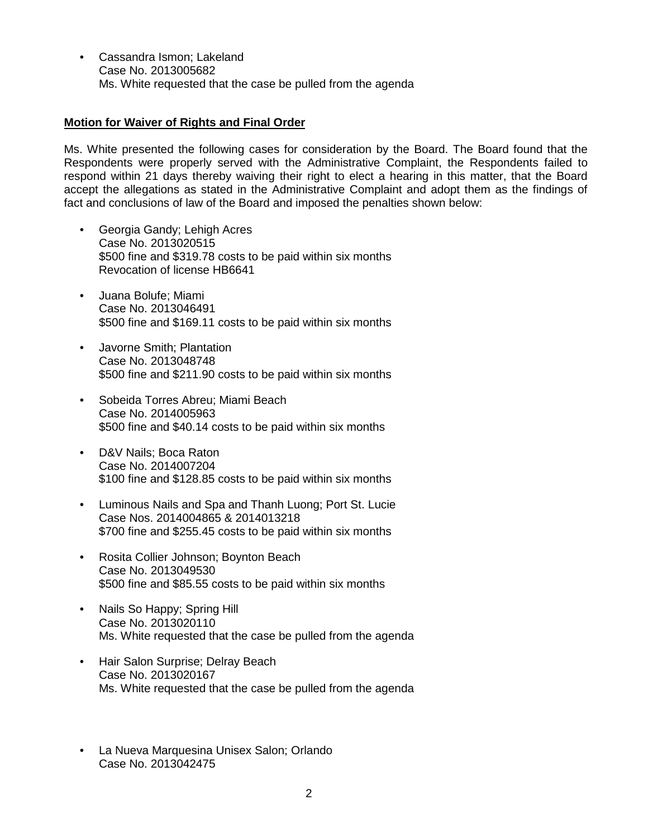• Cassandra Ismon; Lakeland Case No. 2013005682 Ms. White requested that the case be pulled from the agenda

# **Motion for Waiver of Rights and Final Order**

Ms. White presented the following cases for consideration by the Board. The Board found that the Respondents were properly served with the Administrative Complaint, the Respondents failed to respond within 21 days thereby waiving their right to elect a hearing in this matter, that the Board accept the allegations as stated in the Administrative Complaint and adopt them as the findings of fact and conclusions of law of the Board and imposed the penalties shown below:

- Georgia Gandy; Lehigh Acres Case No. 2013020515 \$500 fine and \$319.78 costs to be paid within six months Revocation of license HB6641
- Juana Bolufe; Miami Case No. 2013046491 \$500 fine and \$169.11 costs to be paid within six months
- Javorne Smith; Plantation Case No. 2013048748 \$500 fine and \$211.90 costs to be paid within six months
- Sobeida Torres Abreu; Miami Beach Case No. 2014005963 \$500 fine and \$40.14 costs to be paid within six months
- D&V Nails; Boca Raton Case No. 2014007204 \$100 fine and \$128.85 costs to be paid within six months
- Luminous Nails and Spa and Thanh Luong; Port St. Lucie Case Nos. 2014004865 & 2014013218 \$700 fine and \$255.45 costs to be paid within six months
- Rosita Collier Johnson; Boynton Beach Case No. 2013049530 \$500 fine and \$85.55 costs to be paid within six months
- Nails So Happy; Spring Hill Case No. 2013020110 Ms. White requested that the case be pulled from the agenda
- Hair Salon Surprise; Delray Beach Case No. 2013020167 Ms. White requested that the case be pulled from the agenda
- La Nueva Marquesina Unisex Salon; Orlando Case No. 2013042475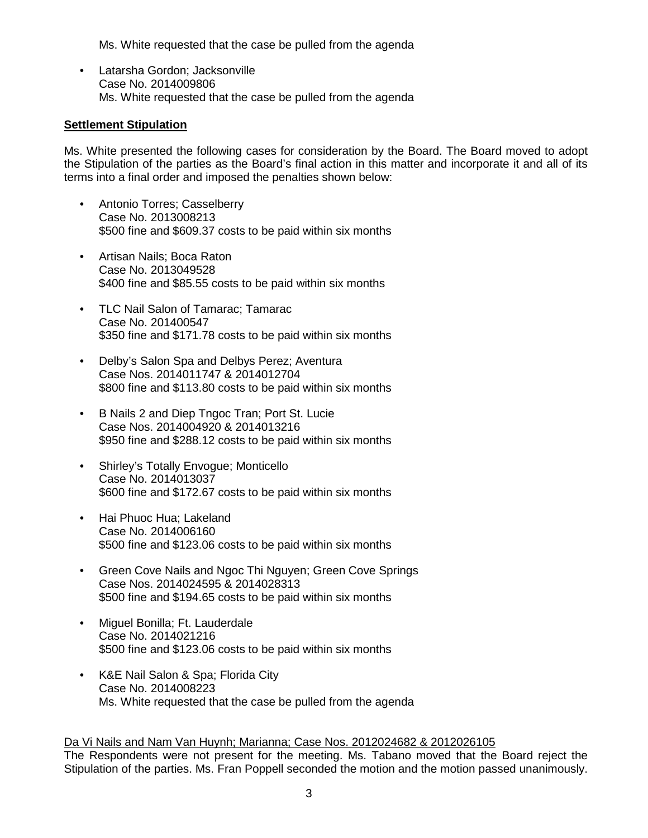Ms. White requested that the case be pulled from the agenda

• Latarsha Gordon; Jacksonville Case No. 2014009806 Ms. White requested that the case be pulled from the agenda

# **Settlement Stipulation**

Ms. White presented the following cases for consideration by the Board. The Board moved to adopt the Stipulation of the parties as the Board's final action in this matter and incorporate it and all of its terms into a final order and imposed the penalties shown below:

- Antonio Torres; Casselberry Case No. 2013008213 \$500 fine and \$609.37 costs to be paid within six months
- Artisan Nails; Boca Raton Case No. 2013049528 \$400 fine and \$85.55 costs to be paid within six months
- TLC Nail Salon of Tamarac; Tamarac Case No. 201400547 \$350 fine and \$171.78 costs to be paid within six months
- Delby's Salon Spa and Delbys Perez; Aventura Case Nos. 2014011747 & 2014012704 \$800 fine and \$113.80 costs to be paid within six months
- B Nails 2 and Diep Tngoc Tran; Port St. Lucie Case Nos. 2014004920 & 2014013216 \$950 fine and \$288.12 costs to be paid within six months
- Shirley's Totally Envogue; Monticello Case No. 2014013037 \$600 fine and \$172.67 costs to be paid within six months
- Hai Phuoc Hua; Lakeland Case No. 2014006160 \$500 fine and \$123.06 costs to be paid within six months
- Green Cove Nails and Ngoc Thi Nguyen; Green Cove Springs Case Nos. 2014024595 & 2014028313 \$500 fine and \$194.65 costs to be paid within six months
- Miguel Bonilla; Ft. Lauderdale Case No. 2014021216 \$500 fine and \$123.06 costs to be paid within six months
- K&E Nail Salon & Spa; Florida City Case No. 2014008223 Ms. White requested that the case be pulled from the agenda

#### Da Vi Nails and Nam Van Huynh; Marianna; Case Nos. 2012024682 & 2012026105

The Respondents were not present for the meeting. Ms. Tabano moved that the Board reject the Stipulation of the parties. Ms. Fran Poppell seconded the motion and the motion passed unanimously.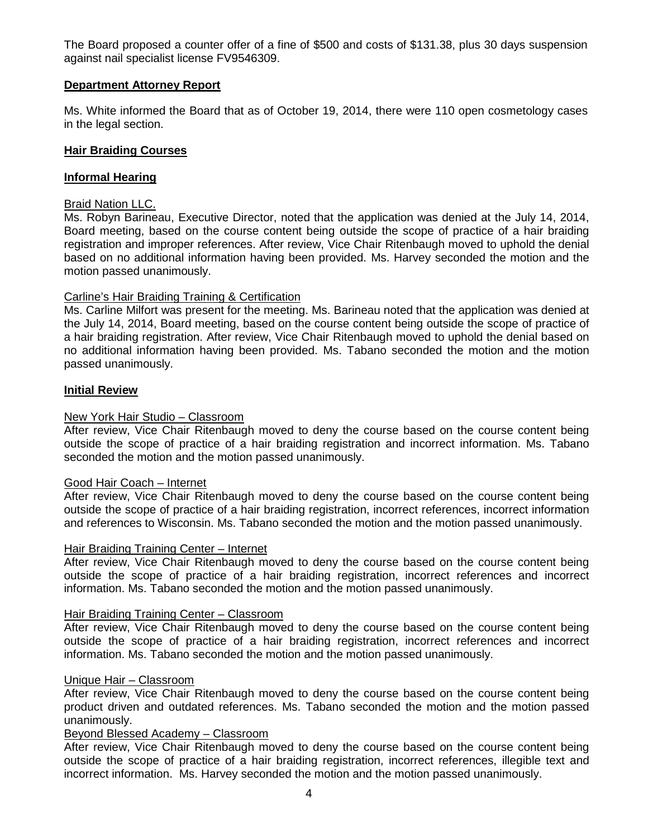The Board proposed a counter offer of a fine of \$500 and costs of \$131.38, plus 30 days suspension against nail specialist license FV9546309.

## **Department Attorney Report**

Ms. White informed the Board that as of October 19, 2014, there were 110 open cosmetology cases in the legal section.

# **Hair Braiding Courses**

## **Informal Hearing**

# Braid Nation LLC.

Ms. Robyn Barineau, Executive Director, noted that the application was denied at the July 14, 2014, Board meeting, based on the course content being outside the scope of practice of a hair braiding registration and improper references. After review, Vice Chair Ritenbaugh moved to uphold the denial based on no additional information having been provided. Ms. Harvey seconded the motion and the motion passed unanimously.

## Carline's Hair Braiding Training & Certification

Ms. Carline Milfort was present for the meeting. Ms. Barineau noted that the application was denied at the July 14, 2014, Board meeting, based on the course content being outside the scope of practice of a hair braiding registration. After review, Vice Chair Ritenbaugh moved to uphold the denial based on no additional information having been provided. Ms. Tabano seconded the motion and the motion passed unanimously.

## **Initial Review**

#### New York Hair Studio – Classroom

After review, Vice Chair Ritenbaugh moved to deny the course based on the course content being outside the scope of practice of a hair braiding registration and incorrect information. Ms. Tabano seconded the motion and the motion passed unanimously.

#### Good Hair Coach – Internet

After review, Vice Chair Ritenbaugh moved to deny the course based on the course content being outside the scope of practice of a hair braiding registration, incorrect references, incorrect information and references to Wisconsin. Ms. Tabano seconded the motion and the motion passed unanimously.

#### Hair Braiding Training Center – Internet

After review, Vice Chair Ritenbaugh moved to deny the course based on the course content being outside the scope of practice of a hair braiding registration, incorrect references and incorrect information. Ms. Tabano seconded the motion and the motion passed unanimously.

#### Hair Braiding Training Center – Classroom

After review, Vice Chair Ritenbaugh moved to deny the course based on the course content being outside the scope of practice of a hair braiding registration, incorrect references and incorrect information. Ms. Tabano seconded the motion and the motion passed unanimously.

#### Unique Hair – Classroom

After review, Vice Chair Ritenbaugh moved to deny the course based on the course content being product driven and outdated references. Ms. Tabano seconded the motion and the motion passed unanimously.

# Beyond Blessed Academy – Classroom

After review, Vice Chair Ritenbaugh moved to deny the course based on the course content being outside the scope of practice of a hair braiding registration, incorrect references, illegible text and incorrect information. Ms. Harvey seconded the motion and the motion passed unanimously.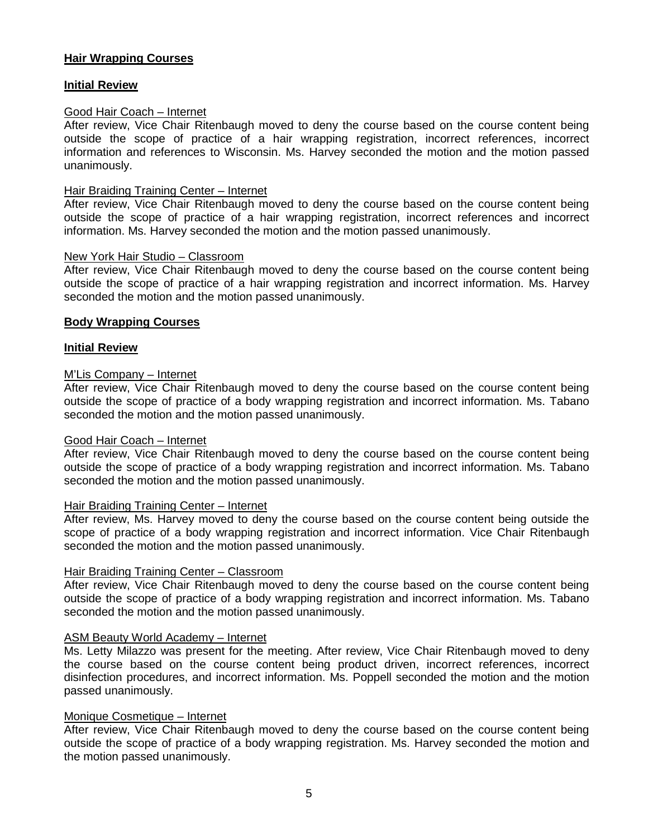# **Hair Wrapping Courses**

# **Initial Review**

## Good Hair Coach – Internet

After review, Vice Chair Ritenbaugh moved to deny the course based on the course content being outside the scope of practice of a hair wrapping registration, incorrect references, incorrect information and references to Wisconsin. Ms. Harvey seconded the motion and the motion passed unanimously.

#### Hair Braiding Training Center – Internet

After review, Vice Chair Ritenbaugh moved to deny the course based on the course content being outside the scope of practice of a hair wrapping registration, incorrect references and incorrect information. Ms. Harvey seconded the motion and the motion passed unanimously.

#### New York Hair Studio – Classroom

After review, Vice Chair Ritenbaugh moved to deny the course based on the course content being outside the scope of practice of a hair wrapping registration and incorrect information. Ms. Harvey seconded the motion and the motion passed unanimously.

## **Body Wrapping Courses**

#### **Initial Review**

## M'Lis Company – Internet

After review, Vice Chair Ritenbaugh moved to deny the course based on the course content being outside the scope of practice of a body wrapping registration and incorrect information. Ms. Tabano seconded the motion and the motion passed unanimously.

#### Good Hair Coach – Internet

After review, Vice Chair Ritenbaugh moved to deny the course based on the course content being outside the scope of practice of a body wrapping registration and incorrect information. Ms. Tabano seconded the motion and the motion passed unanimously.

#### Hair Braiding Training Center – Internet

After review, Ms. Harvey moved to deny the course based on the course content being outside the scope of practice of a body wrapping registration and incorrect information. Vice Chair Ritenbaugh seconded the motion and the motion passed unanimously.

#### Hair Braiding Training Center – Classroom

After review, Vice Chair Ritenbaugh moved to deny the course based on the course content being outside the scope of practice of a body wrapping registration and incorrect information. Ms. Tabano seconded the motion and the motion passed unanimously.

#### ASM Beauty World Academy – Internet

Ms. Letty Milazzo was present for the meeting. After review, Vice Chair Ritenbaugh moved to deny the course based on the course content being product driven, incorrect references, incorrect disinfection procedures, and incorrect information. Ms. Poppell seconded the motion and the motion passed unanimously.

#### Monique Cosmetique – Internet

After review, Vice Chair Ritenbaugh moved to deny the course based on the course content being outside the scope of practice of a body wrapping registration. Ms. Harvey seconded the motion and the motion passed unanimously.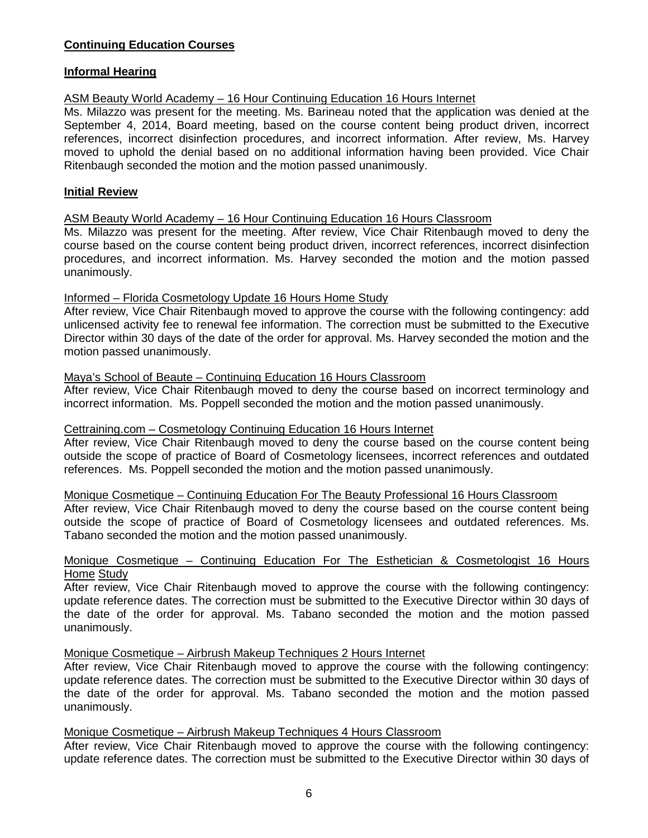# **Continuing Education Courses**

## **Informal Hearing**

# ASM Beauty World Academy – 16 Hour Continuing Education 16 Hours Internet

Ms. Milazzo was present for the meeting. Ms. Barineau noted that the application was denied at the September 4, 2014, Board meeting, based on the course content being product driven, incorrect references, incorrect disinfection procedures, and incorrect information. After review, Ms. Harvey moved to uphold the denial based on no additional information having been provided. Vice Chair Ritenbaugh seconded the motion and the motion passed unanimously.

# **Initial Review**

#### ASM Beauty World Academy – 16 Hour Continuing Education 16 Hours Classroom

Ms. Milazzo was present for the meeting. After review, Vice Chair Ritenbaugh moved to deny the course based on the course content being product driven, incorrect references, incorrect disinfection procedures, and incorrect information. Ms. Harvey seconded the motion and the motion passed unanimously.

## Informed – Florida Cosmetology Update 16 Hours Home Study

After review, Vice Chair Ritenbaugh moved to approve the course with the following contingency: add unlicensed activity fee to renewal fee information. The correction must be submitted to the Executive Director within 30 days of the date of the order for approval. Ms. Harvey seconded the motion and the motion passed unanimously.

#### Maya's School of Beaute – Continuing Education 16 Hours Classroom

After review, Vice Chair Ritenbaugh moved to deny the course based on incorrect terminology and incorrect information. Ms. Poppell seconded the motion and the motion passed unanimously.

#### Cettraining.com – Cosmetology Continuing Education 16 Hours Internet

After review, Vice Chair Ritenbaugh moved to deny the course based on the course content being outside the scope of practice of Board of Cosmetology licensees, incorrect references and outdated references. Ms. Poppell seconded the motion and the motion passed unanimously.

Monique Cosmetique – Continuing Education For The Beauty Professional 16 Hours Classroom

After review, Vice Chair Ritenbaugh moved to deny the course based on the course content being outside the scope of practice of Board of Cosmetology licensees and outdated references. Ms. Tabano seconded the motion and the motion passed unanimously.

#### Monique Cosmetique – Continuing Education For The Esthetician & Cosmetologist 16 Hours Home Study

After review, Vice Chair Ritenbaugh moved to approve the course with the following contingency: update reference dates. The correction must be submitted to the Executive Director within 30 days of the date of the order for approval. Ms. Tabano seconded the motion and the motion passed unanimously.

#### Monique Cosmetique – Airbrush Makeup Techniques 2 Hours Internet

After review, Vice Chair Ritenbaugh moved to approve the course with the following contingency: update reference dates. The correction must be submitted to the Executive Director within 30 days of the date of the order for approval. Ms. Tabano seconded the motion and the motion passed unanimously.

#### Monique Cosmetique – Airbrush Makeup Techniques 4 Hours Classroom

After review, Vice Chair Ritenbaugh moved to approve the course with the following contingency: update reference dates. The correction must be submitted to the Executive Director within 30 days of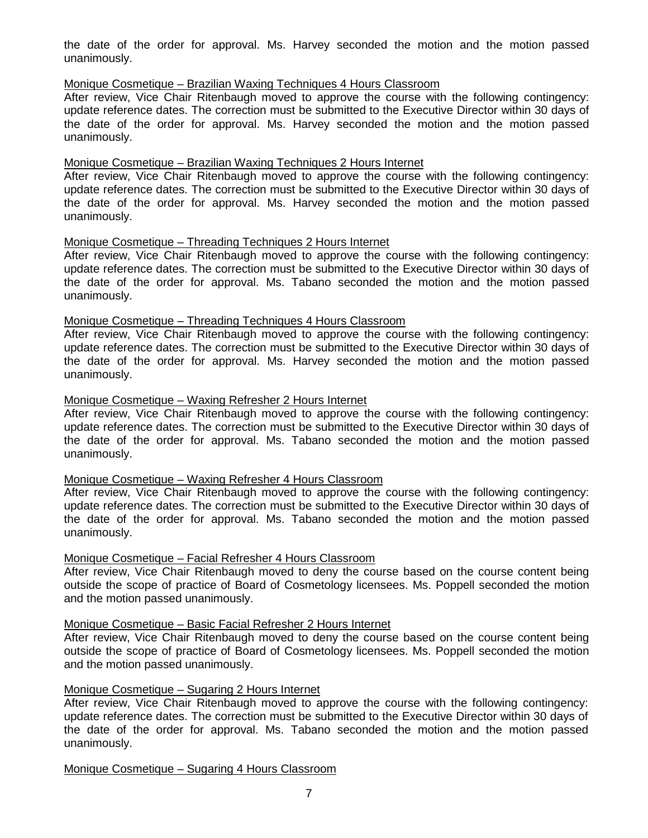the date of the order for approval. Ms. Harvey seconded the motion and the motion passed unanimously.

# Monique Cosmetique – Brazilian Waxing Techniques 4 Hours Classroom

After review, Vice Chair Ritenbaugh moved to approve the course with the following contingency: update reference dates. The correction must be submitted to the Executive Director within 30 days of the date of the order for approval. Ms. Harvey seconded the motion and the motion passed unanimously.

#### Monique Cosmetique – Brazilian Waxing Techniques 2 Hours Internet

After review, Vice Chair Ritenbaugh moved to approve the course with the following contingency: update reference dates. The correction must be submitted to the Executive Director within 30 days of the date of the order for approval. Ms. Harvey seconded the motion and the motion passed unanimously.

## Monique Cosmetique – Threading Techniques 2 Hours Internet

After review, Vice Chair Ritenbaugh moved to approve the course with the following contingency: update reference dates. The correction must be submitted to the Executive Director within 30 days of the date of the order for approval. Ms. Tabano seconded the motion and the motion passed unanimously.

#### Monique Cosmetique – Threading Techniques 4 Hours Classroom

After review, Vice Chair Ritenbaugh moved to approve the course with the following contingency: update reference dates. The correction must be submitted to the Executive Director within 30 days of the date of the order for approval. Ms. Harvey seconded the motion and the motion passed unanimously.

## Monique Cosmetique – Waxing Refresher 2 Hours Internet

After review, Vice Chair Ritenbaugh moved to approve the course with the following contingency: update reference dates. The correction must be submitted to the Executive Director within 30 days of the date of the order for approval. Ms. Tabano seconded the motion and the motion passed unanimously.

#### Monique Cosmetique – Waxing Refresher 4 Hours Classroom

After review, Vice Chair Ritenbaugh moved to approve the course with the following contingency: update reference dates. The correction must be submitted to the Executive Director within 30 days of the date of the order for approval. Ms. Tabano seconded the motion and the motion passed unanimously.

#### Monique Cosmetique – Facial Refresher 4 Hours Classroom

After review, Vice Chair Ritenbaugh moved to deny the course based on the course content being outside the scope of practice of Board of Cosmetology licensees. Ms. Poppell seconded the motion and the motion passed unanimously.

#### Monique Cosmetique – Basic Facial Refresher 2 Hours Internet

After review, Vice Chair Ritenbaugh moved to deny the course based on the course content being outside the scope of practice of Board of Cosmetology licensees. Ms. Poppell seconded the motion and the motion passed unanimously.

# Monique Cosmetique – Sugaring 2 Hours Internet

After review, Vice Chair Ritenbaugh moved to approve the course with the following contingency: update reference dates. The correction must be submitted to the Executive Director within 30 days of the date of the order for approval. Ms. Tabano seconded the motion and the motion passed unanimously.

Monique Cosmetique – Sugaring 4 Hours Classroom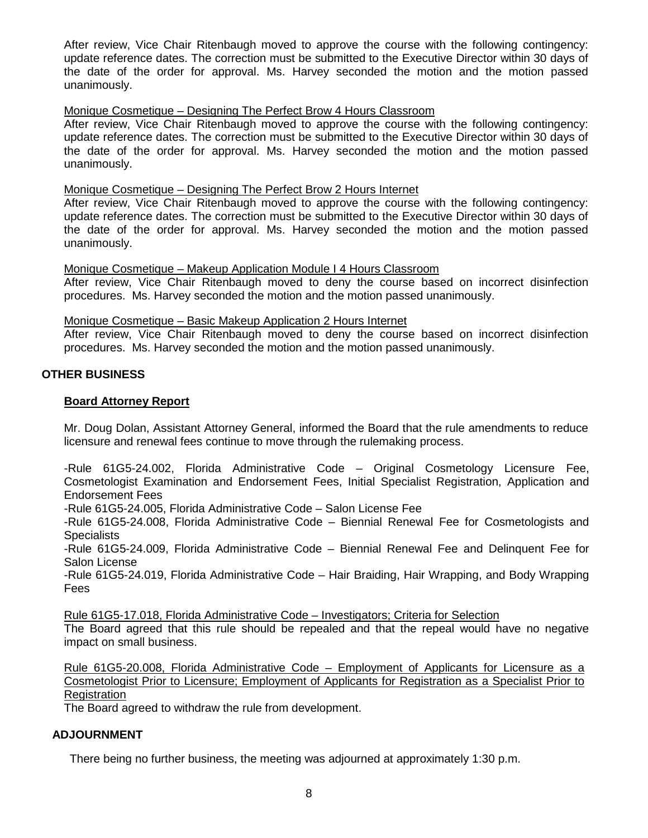After review, Vice Chair Ritenbaugh moved to approve the course with the following contingency: update reference dates. The correction must be submitted to the Executive Director within 30 days of the date of the order for approval. Ms. Harvey seconded the motion and the motion passed unanimously.

#### Monique Cosmetique – Designing The Perfect Brow 4 Hours Classroom

After review, Vice Chair Ritenbaugh moved to approve the course with the following contingency: update reference dates. The correction must be submitted to the Executive Director within 30 days of the date of the order for approval. Ms. Harvey seconded the motion and the motion passed unanimously.

#### Monique Cosmetique – Designing The Perfect Brow 2 Hours Internet

After review, Vice Chair Ritenbaugh moved to approve the course with the following contingency: update reference dates. The correction must be submitted to the Executive Director within 30 days of the date of the order for approval. Ms. Harvey seconded the motion and the motion passed unanimously.

#### Monique Cosmetique – Makeup Application Module I 4 Hours Classroom

After review, Vice Chair Ritenbaugh moved to deny the course based on incorrect disinfection procedures. Ms. Harvey seconded the motion and the motion passed unanimously.

#### Monique Cosmetique – Basic Makeup Application 2 Hours Internet

After review, Vice Chair Ritenbaugh moved to deny the course based on incorrect disinfection procedures. Ms. Harvey seconded the motion and the motion passed unanimously.

# **OTHER BUSINESS**

## **Board Attorney Report**

Mr. Doug Dolan, Assistant Attorney General, informed the Board that the rule amendments to reduce licensure and renewal fees continue to move through the rulemaking process.

-Rule 61G5-24.002, Florida Administrative Code – Original Cosmetology Licensure Fee, Cosmetologist Examination and Endorsement Fees, Initial Specialist Registration, Application and Endorsement Fees

-Rule 61G5-24.005, Florida Administrative Code – Salon License Fee

-Rule 61G5-24.008, Florida Administrative Code – Biennial Renewal Fee for Cosmetologists and **Specialists** 

-Rule 61G5-24.009, Florida Administrative Code – Biennial Renewal Fee and Delinquent Fee for Salon License

-Rule 61G5-24.019, Florida Administrative Code – Hair Braiding, Hair Wrapping, and Body Wrapping Fees

Rule 61G5-17.018, Florida Administrative Code – Investigators; Criteria for Selection

The Board agreed that this rule should be repealed and that the repeal would have no negative impact on small business.

Rule 61G5-20.008, Florida Administrative Code – Employment of Applicants for Licensure as a Cosmetologist Prior to Licensure; Employment of Applicants for Registration as a Specialist Prior to **Registration** 

The Board agreed to withdraw the rule from development.

# **ADJOURNMENT**

There being no further business, the meeting was adjourned at approximately 1:30 p.m.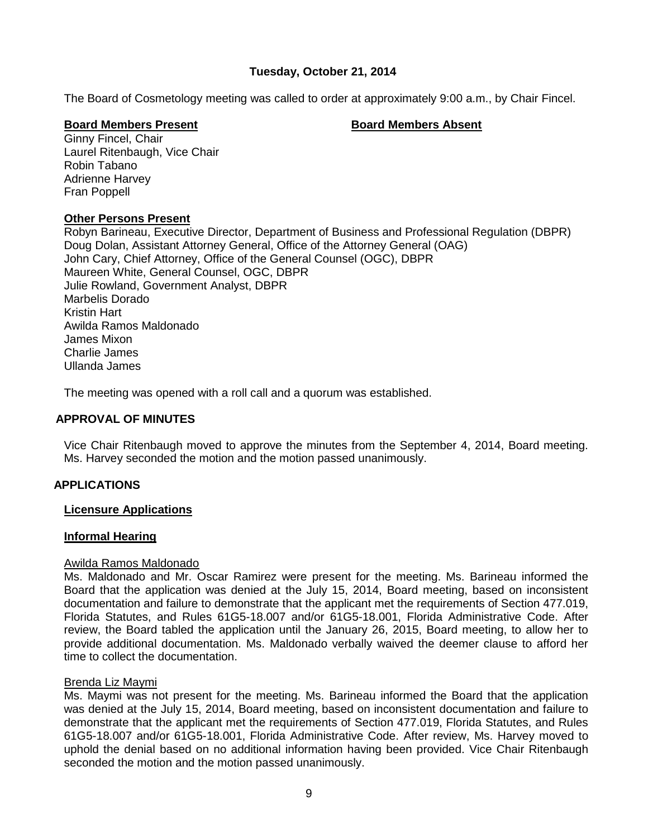# **Tuesday, October 21, 2014**

The Board of Cosmetology meeting was called to order at approximately 9:00 a.m., by Chair Fincel.

#### **Board Members Present Board Members Absent**

Ginny Fincel, Chair Laurel Ritenbaugh, Vice Chair Robin Tabano Adrienne Harvey Fran Poppell

## **Other Persons Present**

Robyn Barineau, Executive Director, Department of Business and Professional Regulation (DBPR) Doug Dolan, Assistant Attorney General, Office of the Attorney General (OAG) John Cary, Chief Attorney, Office of the General Counsel (OGC), DBPR Maureen White, General Counsel, OGC, DBPR Julie Rowland, Government Analyst, DBPR Marbelis Dorado Kristin Hart Awilda Ramos Maldonado James Mixon Charlie James Ullanda James

The meeting was opened with a roll call and a quorum was established.

# **APPROVAL OF MINUTES**

Vice Chair Ritenbaugh moved to approve the minutes from the September 4, 2014, Board meeting. Ms. Harvey seconded the motion and the motion passed unanimously.

# **APPLICATIONS**

# **Licensure Applications**

#### **Informal Hearing**

#### Awilda Ramos Maldonado

Ms. Maldonado and Mr. Oscar Ramirez were present for the meeting. Ms. Barineau informed the Board that the application was denied at the July 15, 2014, Board meeting, based on inconsistent documentation and failure to demonstrate that the applicant met the requirements of Section 477.019, Florida Statutes, and Rules 61G5-18.007 and/or 61G5-18.001, Florida Administrative Code. After review, the Board tabled the application until the January 26, 2015, Board meeting, to allow her to provide additional documentation. Ms. Maldonado verbally waived the deemer clause to afford her time to collect the documentation.

#### Brenda Liz Maymi

Ms. Maymi was not present for the meeting. Ms. Barineau informed the Board that the application was denied at the July 15, 2014, Board meeting, based on inconsistent documentation and failure to demonstrate that the applicant met the requirements of Section 477.019, Florida Statutes, and Rules 61G5-18.007 and/or 61G5-18.001, Florida Administrative Code. After review, Ms. Harvey moved to uphold the denial based on no additional information having been provided. Vice Chair Ritenbaugh seconded the motion and the motion passed unanimously.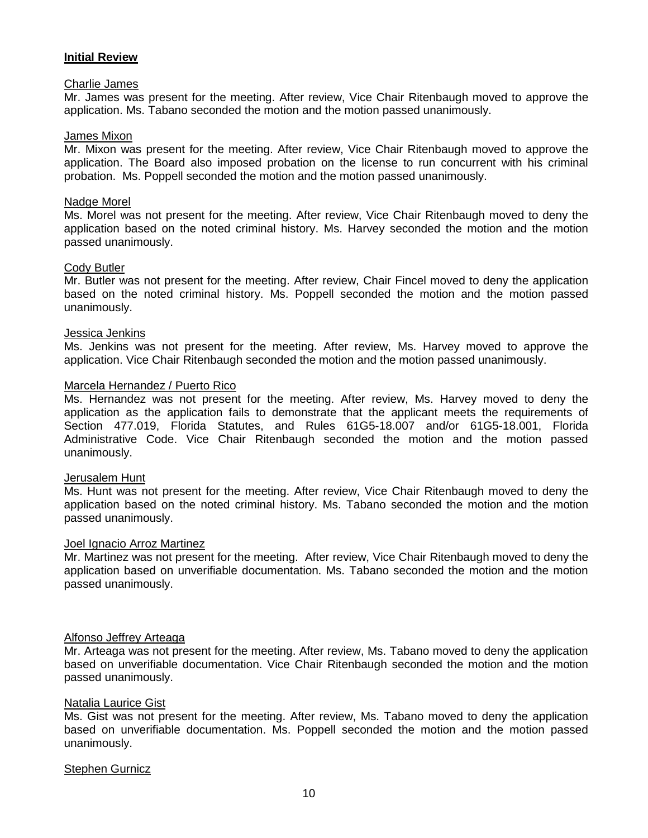## **Initial Review**

#### Charlie James

Mr. James was present for the meeting. After review, Vice Chair Ritenbaugh moved to approve the application. Ms. Tabano seconded the motion and the motion passed unanimously.

#### James Mixon

Mr. Mixon was present for the meeting. After review, Vice Chair Ritenbaugh moved to approve the application. The Board also imposed probation on the license to run concurrent with his criminal probation. Ms. Poppell seconded the motion and the motion passed unanimously.

#### Nadge Morel

Ms. Morel was not present for the meeting. After review, Vice Chair Ritenbaugh moved to deny the application based on the noted criminal history. Ms. Harvey seconded the motion and the motion passed unanimously.

#### Cody Butler

Mr. Butler was not present for the meeting. After review, Chair Fincel moved to deny the application based on the noted criminal history. Ms. Poppell seconded the motion and the motion passed unanimously.

#### Jessica Jenkins

Ms. Jenkins was not present for the meeting. After review, Ms. Harvey moved to approve the application. Vice Chair Ritenbaugh seconded the motion and the motion passed unanimously.

#### Marcela Hernandez / Puerto Rico

Ms. Hernandez was not present for the meeting. After review, Ms. Harvey moved to deny the application as the application fails to demonstrate that the applicant meets the requirements of Section 477.019, Florida Statutes, and Rules 61G5-18.007 and/or 61G5-18.001, Florida Administrative Code. Vice Chair Ritenbaugh seconded the motion and the motion passed unanimously.

#### Jerusalem Hunt

Ms. Hunt was not present for the meeting. After review, Vice Chair Ritenbaugh moved to deny the application based on the noted criminal history. Ms. Tabano seconded the motion and the motion passed unanimously.

#### Joel Ignacio Arroz Martinez

Mr. Martinez was not present for the meeting. After review, Vice Chair Ritenbaugh moved to deny the application based on unverifiable documentation. Ms. Tabano seconded the motion and the motion passed unanimously.

#### Alfonso Jeffrey Arteaga

Mr. Arteaga was not present for the meeting. After review, Ms. Tabano moved to deny the application based on unverifiable documentation. Vice Chair Ritenbaugh seconded the motion and the motion passed unanimously.

#### Natalia Laurice Gist

Ms. Gist was not present for the meeting. After review, Ms. Tabano moved to deny the application based on unverifiable documentation. Ms. Poppell seconded the motion and the motion passed unanimously.

#### Stephen Gurnicz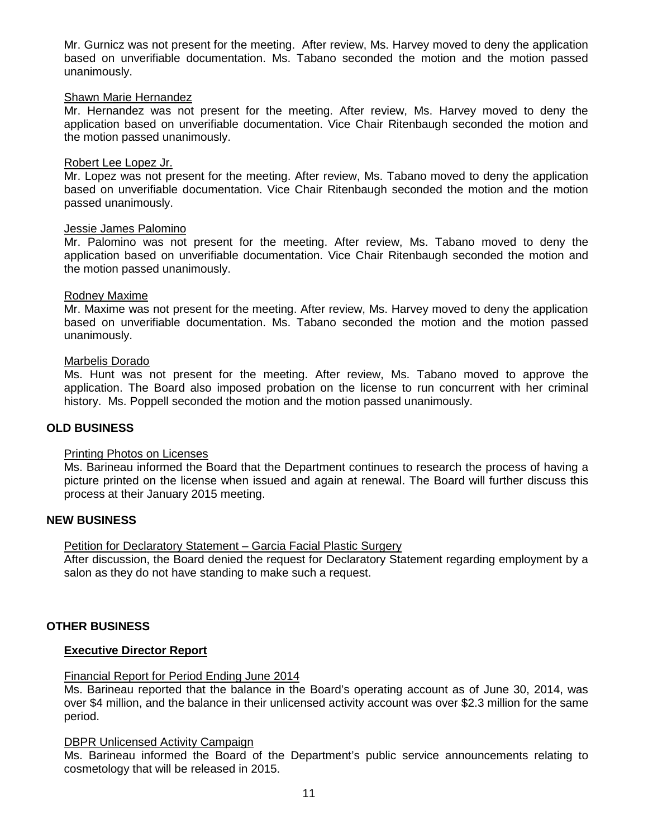Mr. Gurnicz was not present for the meeting. After review, Ms. Harvey moved to deny the application based on unverifiable documentation. Ms. Tabano seconded the motion and the motion passed unanimously.

#### Shawn Marie Hernandez

Mr. Hernandez was not present for the meeting. After review, Ms. Harvey moved to deny the application based on unverifiable documentation. Vice Chair Ritenbaugh seconded the motion and the motion passed unanimously.

#### Robert Lee Lopez Jr.

Mr. Lopez was not present for the meeting. After review, Ms. Tabano moved to deny the application based on unverifiable documentation. Vice Chair Ritenbaugh seconded the motion and the motion passed unanimously.

#### Jessie James Palomino

Mr. Palomino was not present for the meeting. After review, Ms. Tabano moved to deny the application based on unverifiable documentation. Vice Chair Ritenbaugh seconded the motion and the motion passed unanimously.

#### Rodney Maxime

Mr. Maxime was not present for the meeting. After review, Ms. Harvey moved to deny the application based on unverifiable documentation. Ms. Tabano seconded the motion and the motion passed unanimously.

#### Marbelis Dorado

Ms. Hunt was not present for the meeting. After review, Ms. Tabano moved to approve the application. The Board also imposed probation on the license to run concurrent with her criminal history. Ms. Poppell seconded the motion and the motion passed unanimously.

#### **OLD BUSINESS**

#### Printing Photos on Licenses

Ms. Barineau informed the Board that the Department continues to research the process of having a picture printed on the license when issued and again at renewal. The Board will further discuss this process at their January 2015 meeting.

#### **NEW BUSINESS**

#### Petition for Declaratory Statement – Garcia Facial Plastic Surgery

After discussion, the Board denied the request for Declaratory Statement regarding employment by a salon as they do not have standing to make such a request.

#### **OTHER BUSINESS**

#### **Executive Director Report**

#### Financial Report for Period Ending June 2014

Ms. Barineau reported that the balance in the Board's operating account as of June 30, 2014, was over \$4 million, and the balance in their unlicensed activity account was over \$2.3 million for the same period.

#### DBPR Unlicensed Activity Campaign

Ms. Barineau informed the Board of the Department's public service announcements relating to cosmetology that will be released in 2015.